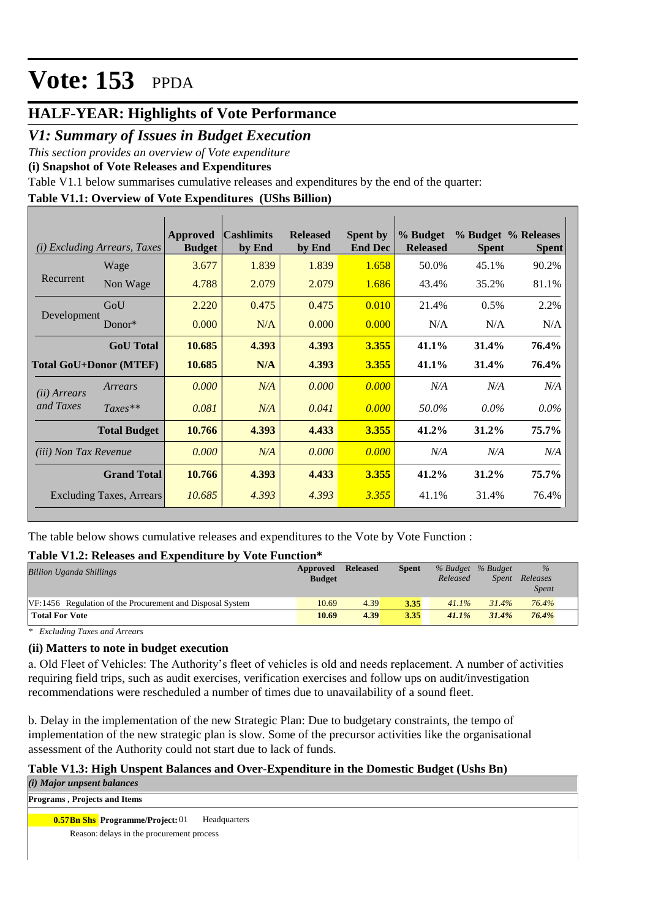# **HALF-YEAR: Highlights of Vote Performance**

### *V1: Summary of Issues in Budget Execution*

*This section provides an overview of Vote expenditure* 

**(i) Snapshot of Vote Releases and Expenditures**

Table V1.1 below summarises cumulative releases and expenditures by the end of the quarter:

### **Table V1.1: Overview of Vote Expenditures (UShs Billion)**

| ( <i>i</i> ) Excluding Arrears, Taxes |                     | Approved<br><b>Budget</b> | <b>Cashlimits</b><br>by End | <b>Released</b><br>by End | <b>Spent by</b><br><b>End Dec</b> | % Budget<br><b>Released</b> | <b>Spent</b> | % Budget % Releases<br><b>Spent</b> |
|---------------------------------------|---------------------|---------------------------|-----------------------------|---------------------------|-----------------------------------|-----------------------------|--------------|-------------------------------------|
| Recurrent                             | Wage                | 3.677                     | 1.839                       | 1.839                     | 1.658                             | 50.0%                       | 45.1%        | 90.2%                               |
|                                       | Non Wage            | 4.788                     | 2.079                       | 2.079                     | 1.686                             | 43.4%                       | 35.2%        | 81.1%                               |
| Development                           | GoU                 | 2.220                     | 0.475                       | 0.475                     | 0.010                             | 21.4%                       | 0.5%         | 2.2%                                |
|                                       | Donor $*$           | 0.000                     | N/A                         | 0.000                     | 0.000                             | N/A                         | N/A          | N/A                                 |
|                                       | <b>GoU</b> Total    | 10.685                    | 4.393                       | 4.393                     | 3.355                             | 41.1%                       | 31.4%        | 76.4%                               |
| <b>Total GoU+Donor (MTEF)</b>         |                     | 10.685                    | N/A                         | 4.393                     | 3.355                             | 41.1%                       | 31.4%        | 76.4%                               |
| ( <i>ii</i> ) Arrears                 | Arrears             | 0.000                     | N/A                         | 0.000                     | 0.000                             | N/A                         | N/A          | N/A                                 |
| and Taxes                             | $Taxes**$           | 0.081                     | N/A                         | 0.041                     | 0.000                             | 50.0%                       | $0.0\%$      | $0.0\%$                             |
|                                       | <b>Total Budget</b> | 10.766                    | 4.393                       | 4.433                     | 3.355                             | 41.2%                       | 31.2%        | 75.7%                               |
| <i>(iii)</i> Non Tax Revenue          |                     | 0.000                     | N/A                         | 0.000                     | 0.000                             | N/A                         | N/A          | N/A                                 |
|                                       | <b>Grand Total</b>  | 10.766                    | 4.393                       | 4.433                     | 3.355                             | 41.2%                       | 31.2%        | 75.7%                               |
| Excluding Taxes, Arrears              |                     | 10.685                    | 4.393                       | 4.393                     | 3.355                             | 41.1%                       | 31.4%        | 76.4%                               |

The table below shows cumulative releases and expenditures to the Vote by Vote Function :

#### **Table V1.2: Releases and Expenditure by Vote Function\***

| <b>Billion Uganda Shillings</b>                           | Approved<br><b>Budget</b> | <b>Released</b> | <b>Spent</b> | % Budget % Budget<br>Released | Spent | $\%$<br>Releases<br><i>Spent</i> |
|-----------------------------------------------------------|---------------------------|-----------------|--------------|-------------------------------|-------|----------------------------------|
| VF:1456 Regulation of the Procurement and Disposal System | 10.69                     | 4.39            | 3.35         | 41.1%                         | 31.4% | 76.4%                            |
| <b>Total For Vote</b>                                     | 10.69                     | 4.39            | 3.35         | 41.1%                         | 31.4% | 76.4%                            |

*\* Excluding Taxes and Arrears*

#### **(ii) Matters to note in budget execution**

a. Old Fleet of Vehicles: The Authority's fleet of vehicles is old and needs replacement. A number of activities requiring field trips, such as audit exercises, verification exercises and follow ups on audit/investigation recommendations were rescheduled a number of times due to unavailability of a sound fleet.

b. Delay in the implementation of the new Strategic Plan: Due to budgetary constraints, the tempo of implementation of the new strategic plan is slow. Some of the precursor activities like the organisational assessment of the Authority could not start due to lack of funds.

### **Table V1.3: High Unspent Balances and Over-Expenditure in the Domestic Budget (Ushs Bn)**

*(i) Major unpsent balances* **0.57Bn Shs Programme/Project: 01 Headquarters** Reason: delays in the procurement process **Programs , Projects and Items**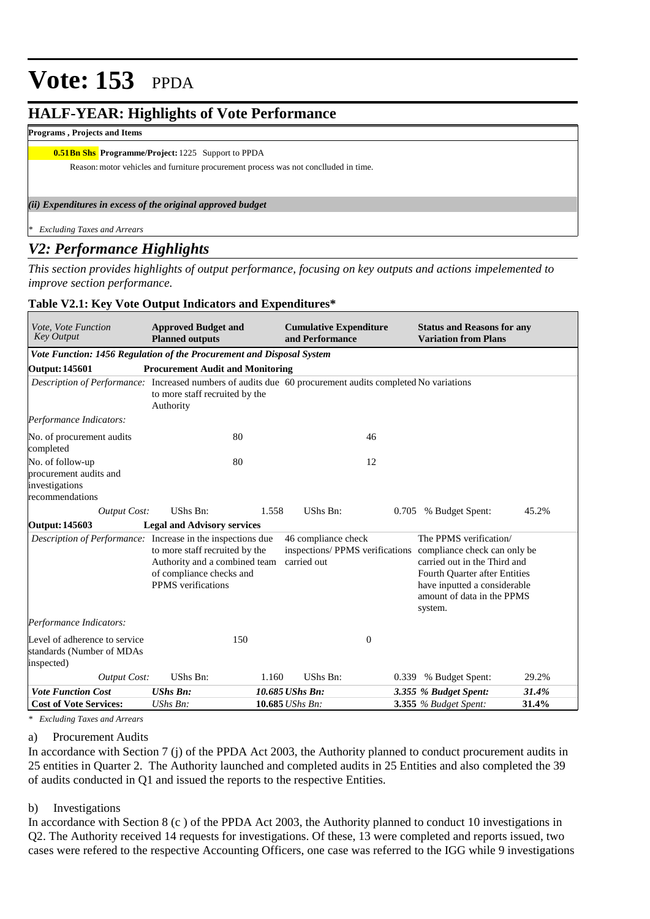# **HALF-YEAR: Highlights of Vote Performance**

#### **Programs , Projects and Items**

#### **Bn Shs Programme/Project:** 1225 Support to PPDA **0.51**

Reason: motor vehicles and furniture procurement process was not conclluded in time.

#### *(ii) Expenditures in excess of the original approved budget*

*\* Excluding Taxes and Arrears*

### *V2: Performance Highlights*

*This section provides highlights of output performance, focusing on key outputs and actions impelemented to improve section performance.*

#### **Table V2.1: Key Vote Output Indicators and Expenditures\***

| Vote, Vote Function<br><b>Key Output</b>                                                                  | <b>Approved Budget and</b><br><b>Planned outputs</b>                                                              | <b>Cumulative Expenditure</b><br>and Performance |                                                                                                                                                                                                                                  | <b>Status and Reasons for any</b><br><b>Variation from Plans</b> |  |  |  |  |  |  |
|-----------------------------------------------------------------------------------------------------------|-------------------------------------------------------------------------------------------------------------------|--------------------------------------------------|----------------------------------------------------------------------------------------------------------------------------------------------------------------------------------------------------------------------------------|------------------------------------------------------------------|--|--|--|--|--|--|
| Vote Function: 1456 Regulation of the Procurement and Disposal System                                     |                                                                                                                   |                                                  |                                                                                                                                                                                                                                  |                                                                  |  |  |  |  |  |  |
| <b>Output: 145601</b>                                                                                     | <b>Procurement Audit and Monitoring</b>                                                                           |                                                  |                                                                                                                                                                                                                                  |                                                                  |  |  |  |  |  |  |
| Description of Performance: Increased numbers of audits due 60 procurement audits completed No variations | to more staff recruited by the<br>Authority                                                                       |                                                  |                                                                                                                                                                                                                                  |                                                                  |  |  |  |  |  |  |
| Performance Indicators:                                                                                   |                                                                                                                   |                                                  |                                                                                                                                                                                                                                  |                                                                  |  |  |  |  |  |  |
| No. of procurement audits<br>completed                                                                    | 80                                                                                                                | 46                                               |                                                                                                                                                                                                                                  |                                                                  |  |  |  |  |  |  |
| No. of follow-up<br>procurement audits and<br>investigations<br>recommendations                           | 80                                                                                                                | 12                                               |                                                                                                                                                                                                                                  |                                                                  |  |  |  |  |  |  |
| <b>Output Cost:</b>                                                                                       | UShs Bn:                                                                                                          | 1.558<br>UShs Bn:                                | 0.705 % Budget Spent:                                                                                                                                                                                                            | 45.2%                                                            |  |  |  |  |  |  |
| Output: 145603                                                                                            | <b>Legal and Advisory services</b>                                                                                |                                                  |                                                                                                                                                                                                                                  |                                                                  |  |  |  |  |  |  |
| Description of Performance: Increase in the inspections due                                               | to more staff recruited by the<br>Authority and a combined team<br>of compliance checks and<br>PPMS verifications | 46 compliance check<br>carried out               | The PPMS verification/<br>inspections/ PPMS verifications compliance check can only be<br>carried out in the Third and<br>Fourth Quarter after Entities<br>have inputted a considerable<br>amount of data in the PPMS<br>system. |                                                                  |  |  |  |  |  |  |
| Performance Indicators:                                                                                   |                                                                                                                   |                                                  |                                                                                                                                                                                                                                  |                                                                  |  |  |  |  |  |  |
| Level of adherence to service<br>standards (Number of MDAs<br>inspected)                                  | 150                                                                                                               | $\theta$                                         |                                                                                                                                                                                                                                  |                                                                  |  |  |  |  |  |  |
| <b>Output Cost:</b>                                                                                       | UShs Bn:                                                                                                          | UShs Bn:<br>1.160                                | 0.339 % Budget Spent:                                                                                                                                                                                                            | 29.2%                                                            |  |  |  |  |  |  |
| <b>Vote Function Cost</b>                                                                                 | <b>UShs Bn:</b>                                                                                                   | 10.685 UShs Bn:                                  | 3.355 % Budget Spent:                                                                                                                                                                                                            | 31.4%                                                            |  |  |  |  |  |  |
| <b>Cost of Vote Services:</b>                                                                             | UShs Bn:                                                                                                          | 10.685 UShs Bn:                                  | 3.355 % Budget Spent:                                                                                                                                                                                                            | 31.4%                                                            |  |  |  |  |  |  |

*\* Excluding Taxes and Arrears*

#### a) Procurement Audits

In accordance with Section 7 (j) of the PPDA Act 2003, the Authority planned to conduct procurement audits in 25 entities in Quarter 2. The Authority launched and completed audits in 25 Entities and also completed the 39 of audits conducted in Q1 and issued the reports to the respective Entities.

#### b) Investigations

In accordance with Section 8 (c ) of the PPDA Act 2003, the Authority planned to conduct 10 investigations in Q2. The Authority received 14 requests for investigations. Of these, 13 were completed and reports issued, two cases were refered to the respective Accounting Officers, one case was referred to the IGG while 9 investigations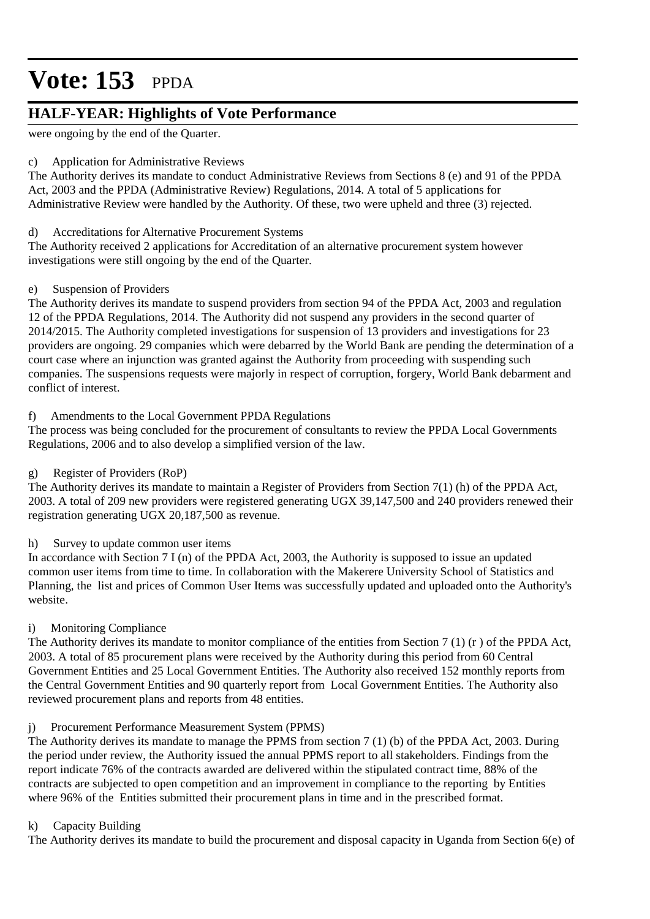# **HALF-YEAR: Highlights of Vote Performance**

were ongoing by the end of the Quarter.

#### c) Application for Administrative Reviews

The Authority derives its mandate to conduct Administrative Reviews from Sections 8 (e) and 91 of the PPDA Act, 2003 and the PPDA (Administrative Review) Regulations, 2014. A total of 5 applications for Administrative Review were handled by the Authority. Of these, two were upheld and three (3) rejected.

#### d) Accreditations for Alternative Procurement Systems

The Authority received 2 applications for Accreditation of an alternative procurement system however investigations were still ongoing by the end of the Quarter.

#### e) Suspension of Providers

The Authority derives its mandate to suspend providers from section 94 of the PPDA Act, 2003 and regulation 12 of the PPDA Regulations, 2014. The Authority did not suspend any providers in the second quarter of 2014/2015. The Authority completed investigations for suspension of 13 providers and investigations for 23 providers are ongoing. 29 companies which were debarred by the World Bank are pending the determination of a court case where an injunction was granted against the Authority from proceeding with suspending such companies. The suspensions requests were majorly in respect of corruption, forgery, World Bank debarment and conflict of interest.

#### f) Amendments to the Local Government PPDA Regulations

The process was being concluded for the procurement of consultants to review the PPDA Local Governments Regulations, 2006 and to also develop a simplified version of the law.

#### g) Register of Providers (RoP)

The Authority derives its mandate to maintain a Register of Providers from Section 7(1) (h) of the PPDA Act, 2003. A total of 209 new providers were registered generating UGX 39,147,500 and 240 providers renewed their registration generating UGX 20,187,500 as revenue.

### h) Survey to update common user items

In accordance with Section 7 I (n) of the PPDA Act, 2003, the Authority is supposed to issue an updated common user items from time to time. In collaboration with the Makerere University School of Statistics and Planning, the list and prices of Common User Items was successfully updated and uploaded onto the Authority's website.

### i) Monitoring Compliance

The Authority derives its mandate to monitor compliance of the entities from Section 7 (1) (r ) of the PPDA Act, 2003. A total of 85 procurement plans were received by the Authority during this period from 60 Central Government Entities and 25 Local Government Entities. The Authority also received 152 monthly reports from the Central Government Entities and 90 quarterly report from Local Government Entities. The Authority also reviewed procurement plans and reports from 48 entities.

### j) Procurement Performance Measurement System (PPMS)

The Authority derives its mandate to manage the PPMS from section 7 (1) (b) of the PPDA Act, 2003. During the period under review, the Authority issued the annual PPMS report to all stakeholders. Findings from the report indicate 76% of the contracts awarded are delivered within the stipulated contract time, 88% of the contracts are subjected to open competition and an improvement in compliance to the reporting by Entities where 96% of the Entities submitted their procurement plans in time and in the prescribed format.

#### k) Capacity Building

The Authority derives its mandate to build the procurement and disposal capacity in Uganda from Section 6(e) of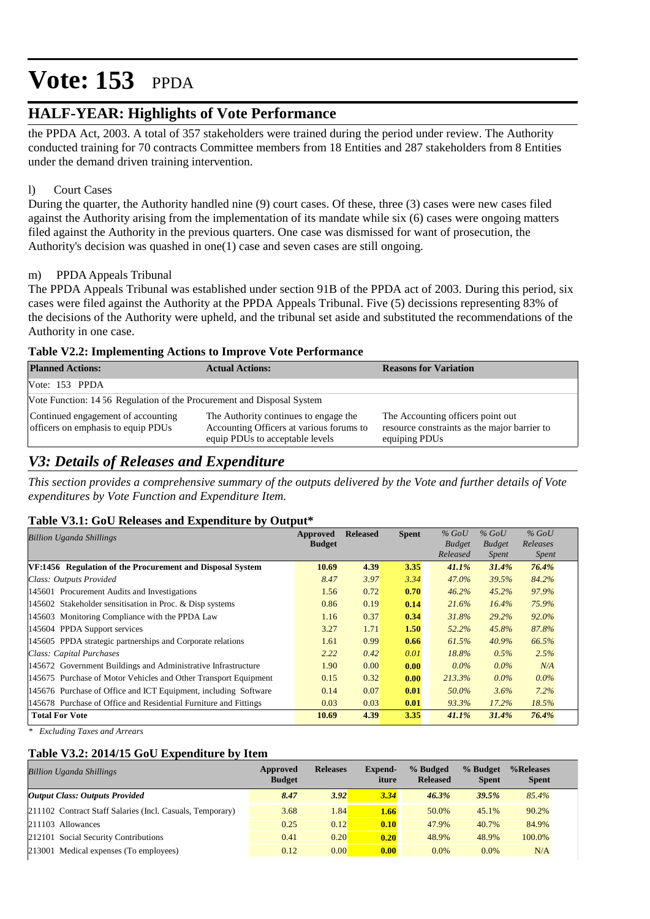# **HALF-YEAR: Highlights of Vote Performance**

the PPDA Act, 2003. A total of 357 stakeholders were trained during the period under review. The Authority conducted training for 70 contracts Committee members from 18 Entities and 287 stakeholders from 8 Entities under the demand driven training intervention.

#### l) Court Cases

During the quarter, the Authority handled nine (9) court cases. Of these, three (3) cases were new cases filed against the Authority arising from the implementation of its mandate while six (6) cases were ongoing matters filed against the Authority in the previous quarters. One case was dismissed for want of prosecution, the Authority's decision was quashed in one(1) case and seven cases are still ongoing.

#### m) PPDA Appeals Tribunal

The PPDA Appeals Tribunal was established under section 91B of the PPDA act of 2003. During this period, six cases were filed against the Authority at the PPDA Appeals Tribunal. Five (5) decissions representing 83% of the decisions of the Authority were upheld, and the tribunal set aside and substituted the recommendations of the Authority in one case.

#### **Table V2.2: Implementing Actions to Improve Vote Performance**

| <b>Planned Actions:</b>                                                  | <b>Actual Actions:</b>                                                                                               | <b>Reasons for Variation</b>                                                                       |
|--------------------------------------------------------------------------|----------------------------------------------------------------------------------------------------------------------|----------------------------------------------------------------------------------------------------|
| Vote: 153 PPDA                                                           |                                                                                                                      |                                                                                                    |
| Vote Function: 14.56 Regulation of the Procurement and Disposal System   |                                                                                                                      |                                                                                                    |
| Continued engagement of accounting<br>officers on emphasis to equip PDUs | The Authority continues to engage the<br>Accounting Officers at various forums to<br>equip PDUs to acceptable levels | The Accounting officers point out<br>resource constraints as the major barrier to<br>equiping PDUs |

# *V3: Details of Releases and Expenditure*

*This section provides a comprehensive summary of the outputs delivered by the Vote and further details of Vote expenditures by Vote Function and Expenditure Item.*

#### **Table V3.1: GoU Releases and Expenditure by Output\***

| <b>Billion Uganda Shillings</b>                                  | Approved      | <b>Released</b> | <b>Spent</b> | $%$ GoU       | $%$ GoU       | $%$ GoU      |
|------------------------------------------------------------------|---------------|-----------------|--------------|---------------|---------------|--------------|
|                                                                  | <b>Budget</b> |                 |              | <b>Budget</b> | <b>Budget</b> | Releases     |
|                                                                  |               |                 |              | Released      | <i>Spent</i>  | <i>Spent</i> |
| VF:1456 Regulation of the Procurement and Disposal System        |               | 4.39            | 3.35         | 41.1%         | 31.4%         | 76.4%        |
| Class: Outputs Provided                                          | 8.47          | 3.97            | 3.34         | 47.0%         | 39.5%         | 84.2%        |
| 145601 Procurement Audits and Investigations                     | 1.56          | 0.72            | 0.70         | 46.2%         | 45.2%         | 97.9%        |
| 145602 Stakeholder sensitisation in Proc. & Disp systems         | 0.86          | 0.19            | 0.14         | 21.6%         | $16.4\%$      | 75.9%        |
| 145603 Monitoring Compliance with the PPDA Law                   | 1.16          | 0.37            | 0.34         | 31.8%         | 29.2%         | 92.0%        |
| 145604 PPDA Support services                                     | 3.27          | 1.71            | 1.50         | 52.2%         | 45.8%         | 87.8%        |
| 145605 PPDA strategic partnerships and Corporate relations       | 1.61          | 0.99            | 0.66         | 61.5%         | $40.9\%$      | 66.5%        |
| Class: Capital Purchases                                         | 2.22          | 0.42            | 0.01         | $18.8\%$      | 0.5%          | 2.5%         |
| 145672 Government Buildings and Administrative Infrastructure    | 1.90          | 0.00            | 0.00         | $0.0\%$       | $0.0\%$       | N/A          |
| 145675 Purchase of Motor Vehicles and Other Transport Equipment  | 0.15          | 0.32            | 0.00         | 213.3%        | $0.0\%$       | $0.0\%$      |
| 145676 Purchase of Office and ICT Equipment, including Software  | 0.14          | 0.07            | 0.01         | 50.0%         | 3.6%          | 7.2%         |
| 145678 Purchase of Office and Residential Furniture and Fittings | 0.03          | 0.03            | 0.01         | 93.3%         | $17.2\%$      | 18.5%        |
| <b>Total For Vote</b>                                            | 10.69         | 4.39            | 3.35         | 41.1%         | 31.4%         | 76.4%        |

*\* Excluding Taxes and Arrears*

#### **Table V3.2: 2014/15 GoU Expenditure by Item**

| <b>Billion Uganda Shillings</b>                           | Approved<br><b>Budget</b> | <b>Releases</b> | <b>Expend-</b><br>iture | % Budged<br><b>Released</b> | % Budget<br><b>Spent</b> | %Releases<br><b>Spent</b> |
|-----------------------------------------------------------|---------------------------|-----------------|-------------------------|-----------------------------|--------------------------|---------------------------|
| <b>Output Class: Outputs Provided</b>                     | 8.47                      | 3.92            | 3.34                    | 46.3%                       | <b>39.5%</b>             | 85.4%                     |
| 211102 Contract Staff Salaries (Incl. Casuals, Temporary) | 3.68                      | 1.84            | 1.66                    | 50.0%                       | 45.1%                    | 90.2%                     |
| $211103$ Allowances                                       | 0.25                      | 0.12            | 0.10                    | 47.9%                       | 40.7%                    | 84.9%                     |
| 212101 Social Security Contributions                      | 0.41                      | 0.20            | 0.20                    | 48.9%                       | 48.9%                    | 100.0%                    |
| 213001 Medical expenses (To employees)                    | 0.12                      | 0.00            | 0.00                    | $0.0\%$                     | 0.0%                     | N/A                       |